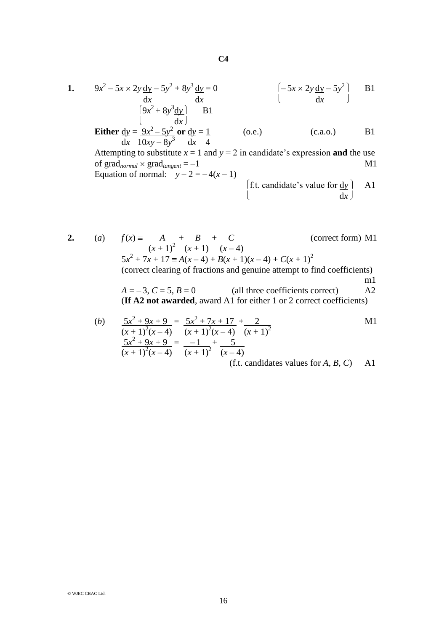1. 
$$
9x^2 - 5x \times 2y \frac{dy}{dx} - 5y^2 + 8y^3 \frac{dy}{dx} = 0
$$
  $\begin{bmatrix} -5x \times 2y \frac{dy}{dx} - 5y^2 \\ dx \end{bmatrix}$  B1  
\n $\begin{bmatrix} 9x^2 + 8y^3 \frac{dy}{dx} \\ dx \end{bmatrix}$  B1  
\n**Either**  $\frac{dy}{dx} = \frac{9x^2 - 5y^2}{10xy - 8y^3} \text{ or } \frac{dy}{dx} = \frac{1}{4}$  (o.e.) (c.a.o.) B1  
\n $\frac{dx}{dx} = 1 \text{ and } y = 2 \text{ in candidate's expression and the use of gradnormal × gradtangent = -1$   
\nEquation of normal:  $y - 2 = -4(x - 1)$   
\n $\begin{bmatrix} f.t. candidate's value for  $\frac{dy}{dx} \end{bmatrix}$  A1  
\n $\begin{bmatrix} f.t. candidate's value for  $\frac{dy}{dx} \end{bmatrix}$$$ 

2. (a) 
$$
f(x) = \frac{A}{(x+1)^2} + \frac{B}{(x+1)} + \frac{C}{(x-4)}
$$
 (correct form) M1  
\n $5x^2 + 7x + 17 = A(x-4) + B(x+1)(x-4) + C(x+1)^2$   
\n(correct clearing of fractions and genuine attempt to find coefficients)  
\n $A = -3, C = 5, B = 0$  (all three coefficients correct) A2  
\n**(If A2 not awarded, award A1 for either 1 or 2 correct coefficients)**

(b) 
$$
\frac{5x^2 + 9x + 9}{(x + 1)^2(x - 4)} = \frac{5x^2 + 7x + 17}{(x + 1)^2(x - 4)} + \frac{2}{(x + 1)^2}
$$
 M1  
\n
$$
\frac{5x^2 + 9x + 9}{(x + 1)^2(x - 4)} = \frac{-1}{(x + 1)^2} + \frac{5}{(x - 4)}
$$
 (f.t. candidates values for *A*, *B*, *C*) A1

16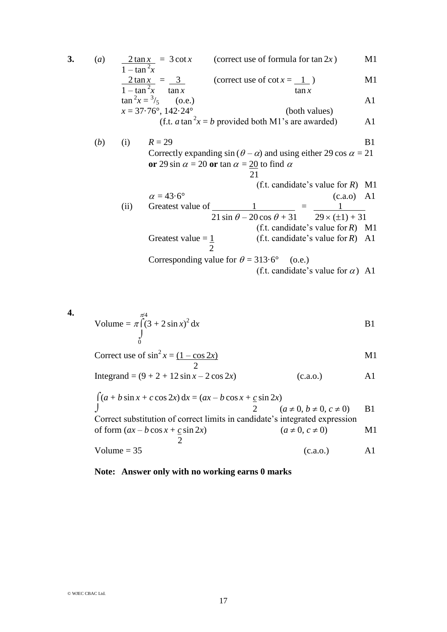**3.** (*a*)  $2 \tan x = 3 \cot x$  (correct use of formula for  $\tan 2x$ ) M1  $1 - \tan^2 x$  $2 \tan x = 3$  (correct use of cot  $x = 1$ ) M1  $1 - \tan^2 x$  tan *x* tan *x* tan *x*  $\tan^2 x = \frac{3}{5}$  (o.e.) A1  $x = 37.76^{\circ}, 142.24^{\circ}$  (both values) (f.t.  $a \tan^2 x = b$  provided both M1's are awarded) A1 (*b*) (i)  $R = 29$  B1 Correctly expanding  $\sin (\theta - \alpha)$  and using either 29 cos  $\alpha = 21$ **or** 29 sin  $\alpha$  = 20 **or** tan  $\alpha$  = 20 to find  $\alpha$  21 (f.t. candidate's value for *R*) M1  $\alpha = 43.6^{\circ}$  (c.a.o) A1 (ii) Greatest value of 1 = 1 .  $21 \sin \theta - 20 \cos \theta + 31$   $29 \times (\pm 1) + 31$  (f.t. candidate's value for *R*) M1 Greatest value =  $\frac{1}{1}$  (f.t. candidate's value for *R*) A1 2 Corresponding value for  $\theta = 313.6^{\circ}$  (o.e.) (f.t. candidate's value for  $\alpha$ ) A1

4. Volume = 
$$
\pi \int_{0}^{\pi/4} (3 + 2 \sin x)^2 dx
$$
 B1

Correct use of 
$$
\sin^2 x = \frac{(1 - \cos 2x)}{2}
$$
 M1

Integrand =  $(9 + 2 + 12 \sin x - 2 \cos 2x)$  (c.a.o.) A1

(*a* + *b* sin *x* + *c* cos 2*x*) d*x* = (*ax* – *b* cos *x* + *c* sin 2*x*) 2 (*a*  0, *b*  0, *c* 0) B1 Correct substitution of correct limits in candidate's integrated expression of form (*ax* – *b* cos *x* + *c* sin 2*x*) (*a*  0, *c* 0) M1 2 Volume = 35 (c.a.o.) A1

## **Note: Answer only with no working earns 0 marks**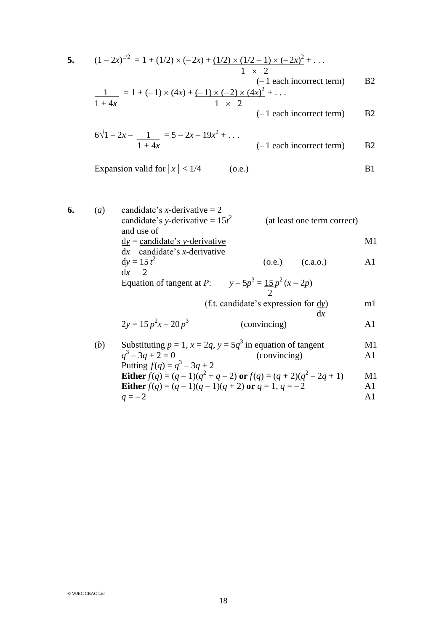5. 
$$
(1-2x)^{1/2} = 1 + (1/2) \times (-2x) + (1/2) \times (1/2 - 1) \times (-2x)^2 + \dots
$$
  
\n $1 \times 2$   
\n $\frac{1}{1+4x} = 1 + (-1) \times (4x) + (-1) \times (-2) \times (4x)^2 + \dots$   
\n $1 \times 2$   
\n $6\sqrt{1-2x} - \frac{1}{1+4x} = 5-2x-19x^2 + \dots$   
\n $1+4x$   
\n $(-1 \text{ each incorrect term})$  B2  
\nExpansion valid for  $|x| < 1/4$  (o.e.)  
\nB1

6. (a) candidate's *x*-derivative = 2  
\ncandidate's *y*-derivative = 
$$
15t^2
$$
 (at least one term correct)  
\nand use of  
\n
$$
\frac{dy}{dx} = \frac{\text{candidate's } y\text{-derivative}}{\text{candidate's } x\text{-derivative}}
$$
\n
$$
\frac{dy}{dx} = \frac{15t^2}{2}
$$
\n(c.a.o.)\n(d) A1  
\nEquation of tangent at *P*:  
\n
$$
y - 5p^3 = \frac{15}{2}p^2(x - 2p)
$$
\n
$$
y - 5p^3 = \frac{15}{2}p^2(x - 2p)
$$
\n
$$
y = \frac{2}{2}
$$
\n
$$
\text{(in the case of the image)}
$$
\n
$$
y = \frac{15}{2}p^2(x - 2p)
$$
\n
$$
y = \frac{2}{2}p^3
$$
\n
$$
\text{(conving of the image)}
$$
\n
$$
y = \frac{15}{2}p^2(x - 2p)
$$
\n
$$
y = \frac{2}{2}p^3
$$
\n
$$
\text{(conving of the image)}
$$
\n
$$
y = \frac{15}{2}p^2(x - 2p)
$$
\n
$$
y = \frac{2}{2}p^3
$$
\n
$$
\text{(conving of the image)}
$$
\n
$$
y = \frac{15}{2}p^2(x - 2p)
$$
\n
$$
\text{(conving of the image)}
$$
\n
$$
y = \frac{5}{2}p^3
$$
\n
$$
\text{(conving of the image)}
$$
\n
$$
y = \frac{5}{2}p^3
$$
\n
$$
\text{(conving of the image)}
$$
\n
$$
y = \frac{5}{2}p^3
$$
\n
$$
\text{(conving of the image)}
$$
\n
$$
y = \frac{5}{2}p^3
$$
\n
$$
\text{(conving of the image)}
$$
\n
$$
y = \frac{5}{2}p^3
$$
\n
$$
\text{(conving of the image)}
$$
\n
$$
y = \frac{5}{2}p^3
$$
\n
$$
\text{(conving of the image)}
$$
\n
$$
y = \frac{5}{2}p^3
$$
\n<

**Either** 
$$
f(q) = (q-1)(q^2+q-2)
$$
 or  $f(q) = (q+2)(q^2-2q+1)$    
\n**Either**  $f(q) = (q-1)(q-1)(q+2)$  or  $q = 1, q = -2$    
\n**Al**

$$
q = -2 \qquad \qquad \text{A1}
$$

© WJEC CBAC Ltd.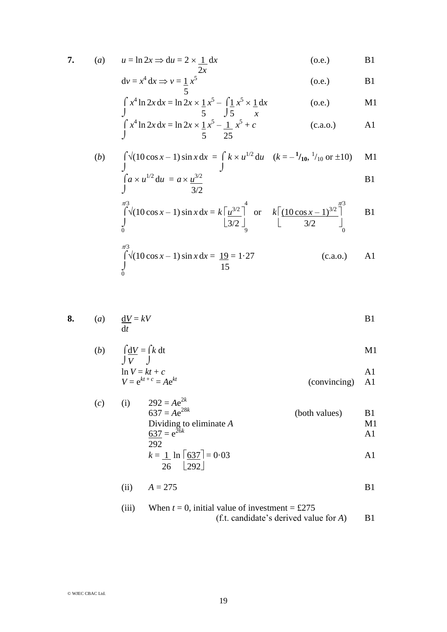7. (a) 
$$
u = \ln 2x \Rightarrow du = 2 \times \frac{1}{2x} dx
$$
 (o.e.) B1

$$
dv = x^4 dx \Rightarrow v = \frac{1}{5} x^5
$$
 (o.e.) B1

$$
\int_{1}^{x^4} \ln 2x \, dx = \ln 2x \times \frac{1}{5} x^5 - \int_{1}^{x^5} \frac{1}{5} \, dx \tag{0.e.}
$$

$$
\int_{J} x^{4} \ln 2x \, dx = \ln 2x \times \frac{1}{5} x^{5} - \frac{1}{25} x^{5} + c
$$
 (c.a.o.) A1

(b) 
$$
\int_{a}^{b} \sqrt{(10 \cos x - 1) \sin x} dx = \int_{a}^{b} k \times u^{1/2} du \quad (k = -\frac{1}{10}, \frac{1}{10} \text{ or } \pm 10) \quad \text{M1}
$$

$$
\int_{a}^{b} \sqrt{(10 \cos x - 1) \sin x} dx = \int_{a}^{b} \sqrt{(10 \cos x - 1) \sin x} dx = \int_{a}^{b} k \times u^{1/2} du \quad (b) = -\frac{1}{10}, \frac{1}{10} \text{ or } \pm 10) \quad \text{M1}
$$

$$
\int_{\frac{\pi^3}{0}}^{\frac{\pi^3}{3}} \int_{0}^{\frac{\pi^3}{3}} (10 \cos x - 1) \sin x \, dx = k \left[ \frac{\mu^{3/2}}{3/2} \right]_{0}^{\frac{4}{3}} \quad \text{or} \quad k \left[ \frac{(10 \cos x - 1)^{3/2}}{3/2} \right]_{0}^{\frac{\pi^3}{3}} \quad \text{B1}
$$

$$
\int_{0}^{\pi/3} \sqrt{10 \cos x - 1} \sin x \, dx = \frac{19}{15} = 1.27
$$
 (c.a.o.) A1

8. (a) 
$$
\frac{dV}{dt} = kV
$$
 B1

(b) 
$$
\int \frac{dV}{V} = \int k dt
$$
  
\n
$$
\ln V = kt + c
$$
  
\n
$$
V = e^{kt + c} = Ae^{kt}
$$
 (conving) A1

(c) (i) 
$$
292 = Ae^{2k}
$$
  
\n $637 = Ae^{28k}$  (both values)  
\nDividing to eliminate *A*  
\n $\frac{637}{292} = e^{26k}$   
\n $k = \frac{1}{26} ln \left[ \frac{637}{292} \right] = 0.03$ 

(ii) 
$$
A = 275
$$
 B1

(iii) When 
$$
t = 0
$$
, initial value of investment = £275  
(f.t. candidate's derived value for A) B1